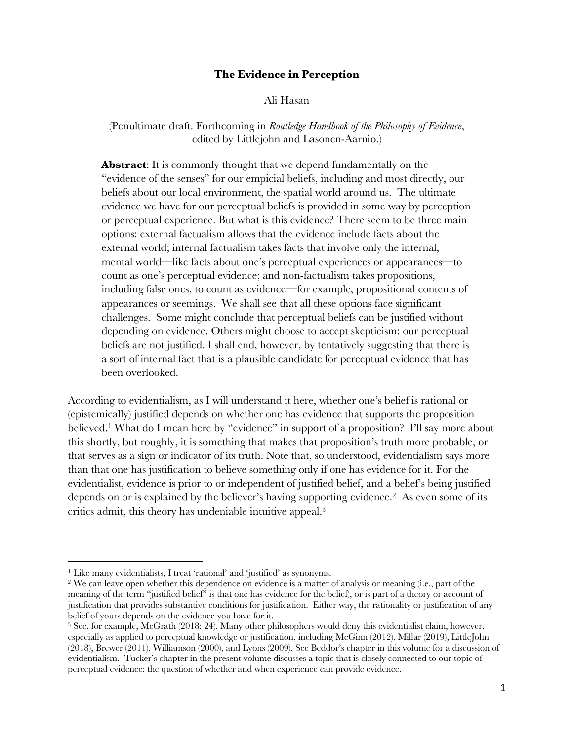### **The Evidence in Perception**

Ali Hasan

(Penultimate draft. Forthcoming in *Routledge Handbook of the Philosophy of Evidence*, edited by Littlejohn and Lasonen-Aarnio.)

Abstract: It is commonly thought that we depend fundamentally on the "evidence of the senses" for our empicial beliefs, including and most directly, our beliefs about our local environment, the spatial world around us. The ultimate evidence we have for our perceptual beliefs is provided in some way by perception or perceptual experience. But what is this evidence? There seem to be three main options: external factualism allows that the evidence include facts about the external world; internal factualism takes facts that involve only the internal, mental world—like facts about one's perceptual experiences or appearances—to count as one's perceptual evidence; and non-factualism takes propositions, including false ones, to count as evidence—for example, propositional contents of appearances or seemings. We shall see that all these options face significant challenges. Some might conclude that perceptual beliefs can be justified without depending on evidence. Others might choose to accept skepticism: our perceptual beliefs are not justified. I shall end, however, by tentatively suggesting that there is a sort of internal fact that is a plausible candidate for perceptual evidence that has been overlooked.

According to evidentialism, as I will understand it here, whether one's belief is rational or (epistemically) justified depends on whether one has evidence that supports the proposition believed.1 What do I mean here by "evidence" in support of a proposition? I'll say more about this shortly, but roughly, it is something that makes that proposition's truth more probable, or that serves as a sign or indicator of its truth. Note that, so understood, evidentialism says more than that one has justification to believe something only if one has evidence for it. For the evidentialist, evidence is prior to or independent of justified belief, and a belief's being justified depends on or is explained by the believer's having supporting evidence. <sup>2</sup> As even some of its critics admit, this theory has undeniable intuitive appeal.3

<sup>&</sup>lt;sup>1</sup> Like many evidentialists, I treat 'rational' and 'justified' as synonyms.<br><sup>2</sup> We can leave open whether this dependence on evidence is a matter of analysis or meaning (i.e., part of the meaning of the term "justified belief" is that one has evidence for the belief), or is part of a theory or account of justification that provides substantive conditions for justification. Either way, the rationality or justification of any belief of yours depends on the evidence you have for it.

<sup>3</sup> See, for example, McGrath (2018: 24). Many other philosophers would deny this evidentialist claim, however, especially as applied to perceptual knowledge or justification, including McGinn (2012), Millar (2019), LittleJohn (2018), Brewer (2011), Williamson (2000), and Lyons (2009). See Beddor's chapter in this volume for a discussion of evidentialism. Tucker's chapter in the present volume discusses a topic that is closely connected to our topic of perceptual evidence: the question of whether and when experience can provide evidence.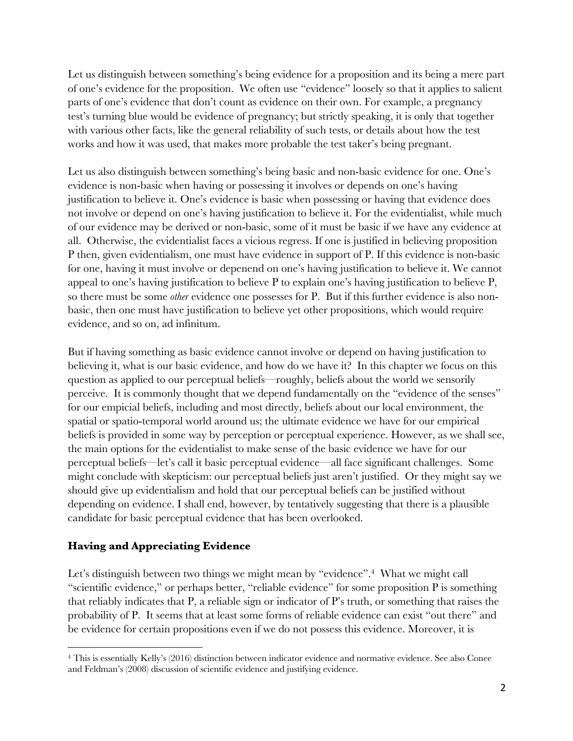Let us distinguish between something's being evidence for a proposition and its being a mere part of one's evidence for the proposition. We often use "evidence" loosely so that it applies to salient parts of one's evidence that don't count as evidence on their own. For example, a pregnancy test's turning blue would be evidence of pregnancy; but strictly speaking, it is only that together with various other facts, like the general reliability of such tests, or details about how the test works and how it was used, that makes more probable the test taker's being pregnant.

Let us also distinguish between something's being basic and non-basic evidence for one. One's evidence is non-basic when having or possessing it involves or depends on one's having justification to believe it. One's evidence is basic when possessing or having that evidence does not involve or depend on one's having justification to believe it. For the evidentialist, while much of our evidence may be derived or non-basic, some of it must be basic if we have any evidence at all. Otherwise, the evidentialist faces a vicious regress. If one is justified in believing proposition P then, given evidentialism, one must have evidence in support of P. If this evidence is non-basic for one, having it must involve or depenend on one's having justification to believe it. We cannot appeal to one's having justification to believe P to explain one's having justification to believe P, so there must be some *other* evidence one possesses for P. But if this further evidence is also nonbasic, then one must have justification to believe yet other propositions, which would require evidence, and so on, ad infinitum.

But if having something as basic evidence cannot involve or depend on having justification to believing it, what is our basic evidence, and how do we have it? In this chapter we focus on this question as applied to our perceptual beliefs—roughly, beliefs about the world we sensorily perceive. It is commonly thought that we depend fundamentally on the "evidence of the senses" for our empicial beliefs, including and most directly, beliefs about our local environment, the spatial or spatio-temporal world around us; the ultimate evidence we have for our empirical beliefs is provided in some way by perception or perceptual experience. However, as we shall see, the main options for the evidentialist to make sense of the basic evidence we have for our perceptual beliefs—let's call it basic perceptual evidence—all face significant challenges. Some might conclude with skepticism: our perceptual beliefs just aren't justified. Or they might say we should give up evidentialism and hold that our perceptual beliefs can be justified without depending on evidence. I shall end, however, by tentatively suggesting that there is a plausible candidate for basic perceptual evidence that has been overlooked.

# **Having and Appreciating Evidence**

Let's distinguish between two things we might mean by "evidence".<sup>4</sup> What we might call "scientific evidence," or perhaps better, "reliable evidence" for some proposition P is something that reliably indicates that P, a reliable sign or indicator of P's truth, or something that raises the probability of P. It seems that at least some forms of reliable evidence can exist "out there" and be evidence for certain propositions even if we do not possess this evidence. Moreover, it is

<sup>4</sup> This is essentially Kelly's (2016) distinction between indicator evidence and normative evidence. See also Conee and Feldman's (2008) discussion of scientific evidence and justifying evidence.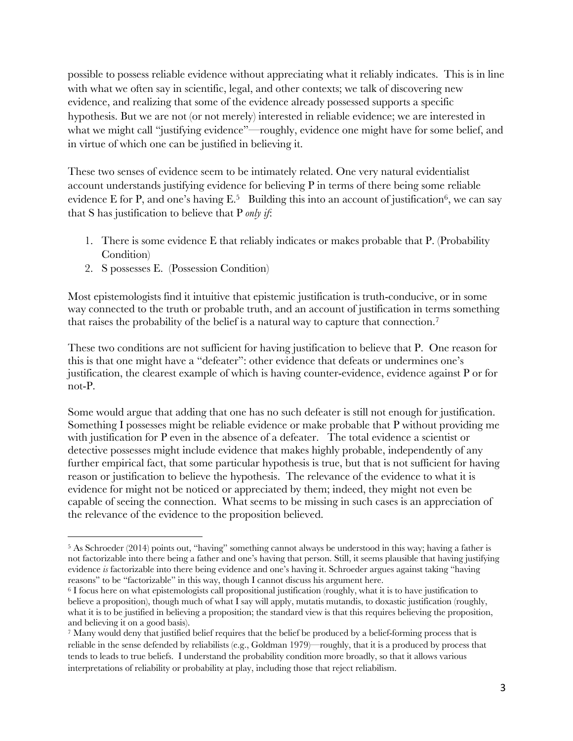possible to possess reliable evidence without appreciating what it reliably indicates. This is in line with what we often say in scientific, legal, and other contexts; we talk of discovering new evidence, and realizing that some of the evidence already possessed supports a specific hypothesis. But we are not (or not merely) interested in reliable evidence; we are interested in what we might call "justifying evidence"—roughly, evidence one might have for some belief, and in virtue of which one can be justified in believing it.

These two senses of evidence seem to be intimately related. One very natural evidentialist account understands justifying evidence for believing P in terms of there being some reliable evidence E for P, and one's having E.<sup>5</sup> Building this into an account of justification<sup>6</sup>, we can say that S has justification to believe that P *only if*:

- 1. There is some evidence E that reliably indicates or makes probable that P. (Probability Condition)
- 2. S possesses E. (Possession Condition)

Most epistemologists find it intuitive that epistemic justification is truth-conducive, or in some way connected to the truth or probable truth, and an account of justification in terms something that raises the probability of the belief is a natural way to capture that connection.7

These two conditions are not sufficient for having justification to believe that P. One reason for this is that one might have a "defeater": other evidence that defeats or undermines one's justification, the clearest example of which is having counter-evidence, evidence against P or for not-P.

Some would argue that adding that one has no such defeater is still not enough for justification. Something I possesses might be reliable evidence or make probable that P without providing me with justification for P even in the absence of a defeater. The total evidence a scientist or detective possesses might include evidence that makes highly probable, independently of any further empirical fact, that some particular hypothesis is true, but that is not sufficient for having reason or justification to believe the hypothesis. The relevance of the evidence to what it is evidence for might not be noticed or appreciated by them; indeed, they might not even be capable of seeing the connection. What seems to be missing in such cases is an appreciation of the relevance of the evidence to the proposition believed.

<sup>5</sup> As Schroeder (2014) points out, "having" something cannot always be understood in this way; having a father is not factorizable into there being a father and one's having that person. Still, it seems plausible that having justifying evidence *is* factorizable into there being evidence and one's having it. Schroeder argues against taking "having reasons" to be "factorizable" in this way, though I cannot discuss his argument here.

<sup>6</sup> I focus here on what epistemologists call propositional justification (roughly, what it is to have justification to believe a proposition), though much of what I say will apply, mutatis mutandis, to doxastic justification (roughly, what it is to be justified in believing a proposition; the standard view is that this requires believing the proposition, and believing it on a good basis).

<sup>7</sup> Many would deny that justified belief requires that the belief be produced by a belief-forming process that is reliable in the sense defended by reliabilists (e.g., Goldman 1979)—roughly, that it is a produced by process that tends to leads to true beliefs. I understand the probability condition more broadly, so that it allows various interpretations of reliability or probability at play, including those that reject reliabilism.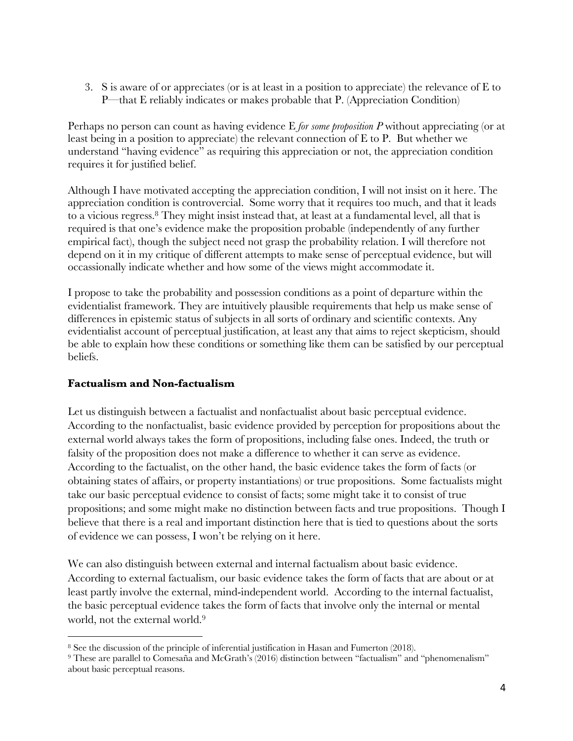3. S is aware of or appreciates (or is at least in a position to appreciate) the relevance of E to P—that E reliably indicates or makes probable that P. (Appreciation Condition)

Perhaps no person can count as having evidence E *for some proposition P* without appreciating (or at least being in a position to appreciate) the relevant connection of E to P. But whether we understand "having evidence" as requiring this appreciation or not, the appreciation condition requires it for justified belief.

Although I have motivated accepting the appreciation condition, I will not insist on it here. The appreciation condition is controvercial. Some worry that it requires too much, and that it leads to a vicious regress.8 They might insist instead that, at least at a fundamental level, all that is required is that one's evidence make the proposition probable (independently of any further empirical fact), though the subject need not grasp the probability relation. I will therefore not depend on it in my critique of different attempts to make sense of perceptual evidence, but will occassionally indicate whether and how some of the views might accommodate it.

I propose to take the probability and possession conditions as a point of departure within the evidentialist framework. They are intuitively plausible requirements that help us make sense of differences in epistemic status of subjects in all sorts of ordinary and scientific contexts. Any evidentialist account of perceptual justification, at least any that aims to reject skepticism, should be able to explain how these conditions or something like them can be satisfied by our perceptual beliefs.

# **Factualism and Non-factualism**

Let us distinguish between a factualist and nonfactualist about basic perceptual evidence. According to the nonfactualist, basic evidence provided by perception for propositions about the external world always takes the form of propositions, including false ones. Indeed, the truth or falsity of the proposition does not make a difference to whether it can serve as evidence. According to the factualist, on the other hand, the basic evidence takes the form of facts (or obtaining states of affairs, or property instantiations) or true propositions. Some factualists might take our basic perceptual evidence to consist of facts; some might take it to consist of true propositions; and some might make no distinction between facts and true propositions. Though I believe that there is a real and important distinction here that is tied to questions about the sorts of evidence we can possess, I won't be relying on it here.

We can also distinguish between external and internal factualism about basic evidence. According to external factualism, our basic evidence takes the form of facts that are about or at least partly involve the external, mind-independent world. According to the internal factualist, the basic perceptual evidence takes the form of facts that involve only the internal or mental world, not the external world.<sup>9</sup>

<sup>&</sup>lt;sup>8</sup> See the discussion of the principle of inferential justification in Hasan and Fumerton (2018).<br><sup>9</sup> These are parallel to Comesaña and McGrath's (2016) distinction between "factualism" and "phenomenalism" about basic perceptual reasons.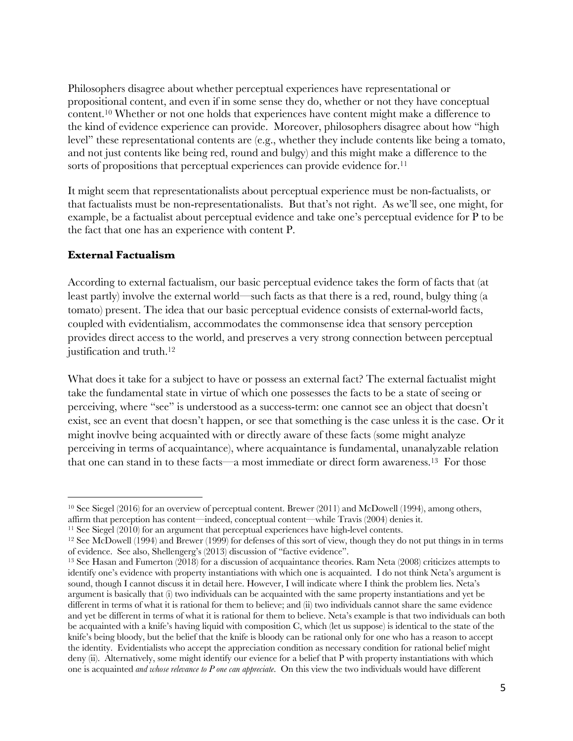Philosophers disagree about whether perceptual experiences have representational or propositional content, and even if in some sense they do, whether or not they have conceptual content.10 Whether or not one holds that experiences have content might make a difference to the kind of evidence experience can provide. Moreover, philosophers disagree about how "high level" these representational contents are (e.g., whether they include contents like being a tomato, and not just contents like being red, round and bulgy) and this might make a difference to the sorts of propositions that perceptual experiences can provide evidence for.<sup>11</sup>

It might seem that representationalists about perceptual experience must be non-factualists, or that factualists must be non-representationalists. But that's not right. As we'll see, one might, for example, be a factualist about perceptual evidence and take one's perceptual evidence for P to be the fact that one has an experience with content P.

# **External Factualism**

According to external factualism, our basic perceptual evidence takes the form of facts that (at least partly) involve the external world—such facts as that there is a red, round, bulgy thing (a tomato) present. The idea that our basic perceptual evidence consists of external-world facts, coupled with evidentialism, accommodates the commonsense idea that sensory perception provides direct access to the world, and preserves a very strong connection between perceptual justification and truth.<sup>12</sup>

What does it take for a subject to have or possess an external fact? The external factualist might take the fundamental state in virtue of which one possesses the facts to be a state of seeing or perceiving, where "see" is understood as a success-term: one cannot see an object that doesn't exist, see an event that doesn't happen, or see that something is the case unless it is the case. Or it might inovlve being acquainted with or directly aware of these facts (some might analyze perceiving in terms of acquaintance), where acquaintance is fundamental, unanalyzable relation that one can stand in to these facts—a most immediate or direct form awareness. 13 For those

<sup>10</sup> See Siegel (2016) for an overview of perceptual content. Brewer (2011) and McDowell (1994), among others, affirm that perception has content—indeed, conceptual content—while Travis (2004) denies it. 11 See Siegel (2010) for an argument that perceptual experiences have high-level contents.

<sup>12</sup> See McDowell (1994) and Brewer (1999) for defenses of this sort of view, though they do not put things in in terms of evidence. See also, Shellengerg's (2013) discussion of "factive evidence".

<sup>&</sup>lt;sup>13</sup> See Hasan and Fumerton (2018) for a discussion of acquaintance theories. Ram Neta (2008) criticizes attempts to identify one's evidence with property instantiations with which one is acquainted. I do not think Neta's argument is sound, though I cannot discuss it in detail here. However, I will indicate where I think the problem lies. Neta's argument is basically that (i) two individuals can be acquainted with the same property instantiations and yet be different in terms of what it is rational for them to believe; and (ii) two individuals cannot share the same evidence and yet be different in terms of what it is rational for them to believe. Neta's example is that two individuals can both be acquainted with a knife's having liquid with composition C, which (let us suppose) is identical to the state of the knife's being bloody, but the belief that the knife is bloody can be rational only for one who has a reason to accept the identity. Evidentialists who accept the appreciation condition as necessary condition for rational belief might deny (ii). Alternatively, some might identify our evience for a belief that P with property instantiations with which one is acquainted *and whose relevance to P one can appreciate*. On this view the two individuals would have different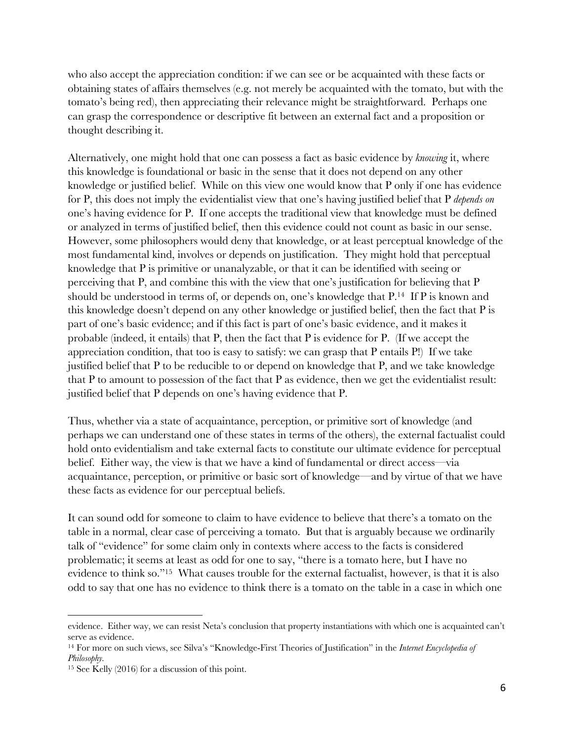who also accept the appreciation condition: if we can see or be acquainted with these facts or obtaining states of affairs themselves (e.g. not merely be acquainted with the tomato, but with the tomato's being red), then appreciating their relevance might be straightforward. Perhaps one can grasp the correspondence or descriptive fit between an external fact and a proposition or thought describing it.

Alternatively, one might hold that one can possess a fact as basic evidence by *knowing* it, where this knowledge is foundational or basic in the sense that it does not depend on any other knowledge or justified belief. While on this view one would know that P only if one has evidence for P, this does not imply the evidentialist view that one's having justified belief that P *depends on* one's having evidence for P. If one accepts the traditional view that knowledge must be defined or analyzed in terms of justified belief, then this evidence could not count as basic in our sense. However, some philosophers would deny that knowledge, or at least perceptual knowledge of the most fundamental kind, involves or depends on justification. They might hold that perceptual knowledge that P is primitive or unanalyzable, or that it can be identified with seeing or perceiving that P, and combine this with the view that one's justification for believing that P should be understood in terms of, or depends on, one's knowledge that P.14 If P is known and this knowledge doesn't depend on any other knowledge or justified belief, then the fact that P is part of one's basic evidence; and if this fact is part of one's basic evidence, and it makes it probable (indeed, it entails) that P, then the fact that P is evidence for P. (If we accept the appreciation condition, that too is easy to satisfy: we can grasp that P entails P!) If we take justified belief that P to be reducible to or depend on knowledge that P, and we take knowledge that P to amount to possession of the fact that P as evidence, then we get the evidentialist result: justified belief that P depends on one's having evidence that P.

Thus, whether via a state of acquaintance, perception, or primitive sort of knowledge (and perhaps we can understand one of these states in terms of the others), the external factualist could hold onto evidentialism and take external facts to constitute our ultimate evidence for perceptual belief. Either way, the view is that we have a kind of fundamental or direct access—via acquaintance, perception, or primitive or basic sort of knowledge—and by virtue of that we have these facts as evidence for our perceptual beliefs.

It can sound odd for someone to claim to have evidence to believe that there's a tomato on the table in a normal, clear case of perceiving a tomato. But that is arguably because we ordinarily talk of "evidence" for some claim only in contexts where access to the facts is considered problematic; it seems at least as odd for one to say, "there is a tomato here, but I have no evidence to think so."15 What causes trouble for the external factualist, however, is that it is also odd to say that one has no evidence to think there is a tomato on the table in a case in which one

evidence. Either way, we can resist Neta's conclusion that property instantiations with which one is acquainted can't serve as evidence.

<sup>14</sup> For more on such views, see Silva's "Knowledge-First Theories of Justification" in the *Internet Encyclopedia of Philosophy.*

<sup>15</sup> See Kelly (2016) for a discussion of this point.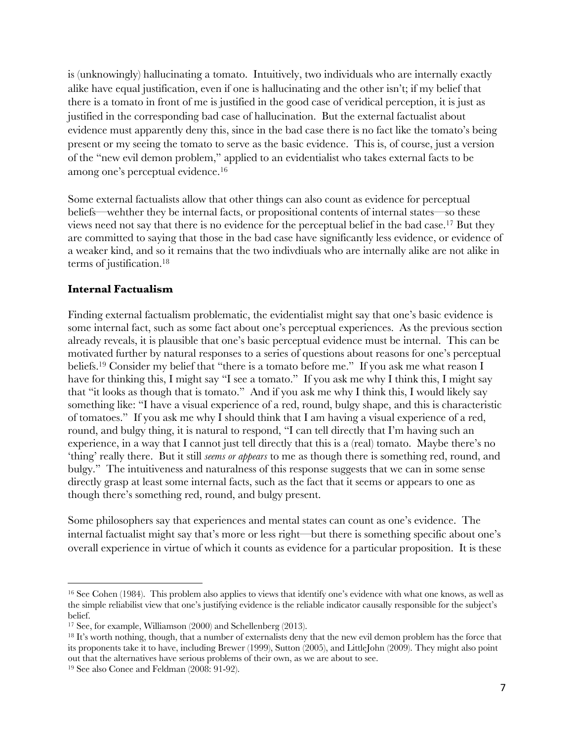is (unknowingly) hallucinating a tomato. Intuitively, two individuals who are internally exactly alike have equal justification, even if one is hallucinating and the other isn't; if my belief that there is a tomato in front of me is justified in the good case of veridical perception, it is just as justified in the corresponding bad case of hallucination. But the external factualist about evidence must apparently deny this, since in the bad case there is no fact like the tomato's being present or my seeing the tomato to serve as the basic evidence. This is, of course, just a version of the "new evil demon problem," applied to an evidentialist who takes external facts to be among one's perceptual evidence.16

Some external factualists allow that other things can also count as evidence for perceptual beliefs—wehther they be internal facts, or propositional contents of internal states—so these views need not say that there is no evidence for the perceptual belief in the bad case.17 But they are committed to saying that those in the bad case have significantly less evidence, or evidence of a weaker kind, and so it remains that the two indivdiuals who are internally alike are not alike in terms of justification.18

#### **Internal Factualism**

Finding external factualism problematic, the evidentialist might say that one's basic evidence is some internal fact, such as some fact about one's perceptual experiences. As the previous section already reveals, it is plausible that one's basic perceptual evidence must be internal. This can be motivated further by natural responses to a series of questions about reasons for one's perceptual beliefs.19 Consider my belief that "there is a tomato before me." If you ask me what reason I have for thinking this, I might say "I see a tomato." If you ask me why I think this, I might say that "it looks as though that is tomato." And if you ask me why I think this, I would likely say something like: "I have a visual experience of a red, round, bulgy shape, and this is characteristic of tomatoes." If you ask me why I should think that I am having a visual experience of a red, round, and bulgy thing, it is natural to respond, "I can tell directly that I'm having such an experience, in a way that I cannot just tell directly that this is a (real) tomato. Maybe there's no 'thing' really there. But it still *seems or appears* to me as though there is something red, round, and bulgy." The intuitiveness and naturalness of this response suggests that we can in some sense directly grasp at least some internal facts, such as the fact that it seems or appears to one as though there's something red, round, and bulgy present.

Some philosophers say that experiences and mental states can count as one's evidence. The internal factualist might say that's more or less right—but there is something specific about one's overall experience in virtue of which it counts as evidence for a particular proposition. It is these

<sup>16</sup> See Cohen (1984). This problem also applies to views that identify one's evidence with what one knows, as well as the simple reliabilist view that one's justifying evidence is the reliable indicator causally responsible for the subject's belief.

<sup>17</sup> See, for example, Williamson (2000) and Schellenberg (2013).

<sup>&</sup>lt;sup>18</sup> It's worth nothing, though, that a number of externalists deny that the new evil demon problem has the force that its proponents take it to have, including Brewer (1999), Sutton (2005), and LittleJohn (2009). They might also point out that the alternatives have serious problems of their own, as we are about to see.

<sup>19</sup> See also Conee and Feldman (2008: 91-92).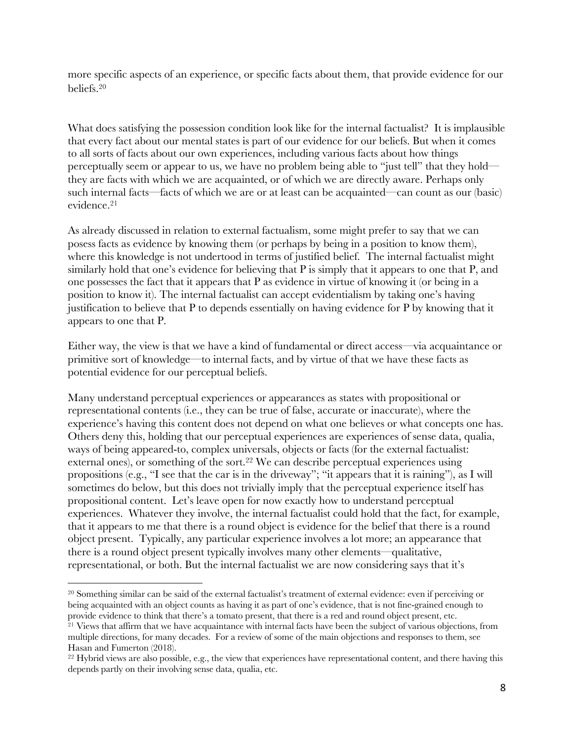more specific aspects of an experience, or specific facts about them, that provide evidence for our beliefs.20

What does satisfying the possession condition look like for the internal factualist? It is implausible that every fact about our mental states is part of our evidence for our beliefs. But when it comes to all sorts of facts about our own experiences, including various facts about how things perceptually seem or appear to us, we have no problem being able to "just tell" that they hold they are facts with which we are acquainted, or of which we are directly aware. Perhaps only such internal facts—facts of which we are or at least can be acquainted—can count as our (basic) evidence.21

As already discussed in relation to external factualism, some might prefer to say that we can posess facts as evidence by knowing them (or perhaps by being in a position to know them), where this knowledge is not undertood in terms of justified belief. The internal factualist might similarly hold that one's evidence for believing that P is simply that it appears to one that P, and one possesses the fact that it appears that P as evidence in virtue of knowing it (or being in a position to know it). The internal factualist can accept evidentialism by taking one's having justification to believe that P to depends essentially on having evidence for P by knowing that it appears to one that P.

Either way, the view is that we have a kind of fundamental or direct access—via acquaintance or primitive sort of knowledge—to internal facts, and by virtue of that we have these facts as potential evidence for our perceptual beliefs.

Many understand perceptual experiences or appearances as states with propositional or representational contents (i.e., they can be true of false, accurate or inaccurate), where the experience's having this content does not depend on what one believes or what concepts one has. Others deny this, holding that our perceptual experiences are experiences of sense data, qualia, ways of being appeared-to, complex universals, objects or facts (for the external factualist: external ones), or something of the sort.<sup>22</sup> We can describe perceptual experiences using propositions (e.g., "I see that the car is in the driveway"; "it appears that it is raining"), as I will sometimes do below, but this does not trivially imply that the perceptual experience itself has propositional content. Let's leave open for now exactly how to understand perceptual experiences. Whatever they involve, the internal factualist could hold that the fact, for example, that it appears to me that there is a round object is evidence for the belief that there is a round object present. Typically, any particular experience involves a lot more; an appearance that there is a round object present typically involves many other elements—qualitative, representational, or both. But the internal factualist we are now considering says that it's

<sup>20</sup> Something similar can be said of the external factualist's treatment of external evidence: even if perceiving or being acquainted with an object counts as having it as part of one's evidence, that is not fine-grained enough to provide evidence to think that there's a tomato present, that there is a red and round object present, etc.

<sup>&</sup>lt;sup>21</sup> Views that affirm that we have acquaintance with internal facts have been the subject of various objections, from multiple directions, for many decades. For a review of some of the main objections and responses to them, see Hasan and Fumerton (2018).

<sup>&</sup>lt;sup>22</sup> Hybrid views are also possible, e.g., the view that experiences have representational content, and there having this depends partly on their involving sense data, qualia, etc.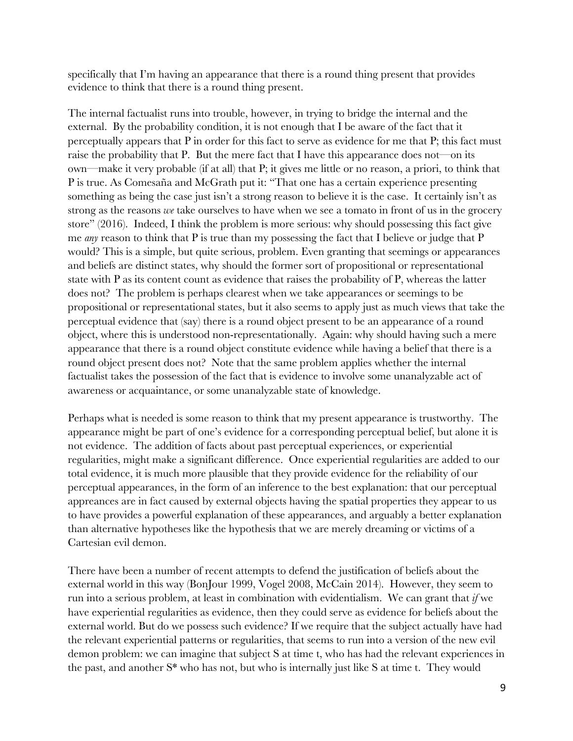specifically that I'm having an appearance that there is a round thing present that provides evidence to think that there is a round thing present.

The internal factualist runs into trouble, however, in trying to bridge the internal and the external. By the probability condition, it is not enough that I be aware of the fact that it perceptually appears that P in order for this fact to serve as evidence for me that P; this fact must raise the probability that P. But the mere fact that I have this appearance does not—on its own—make it very probable (if at all) that P; it gives me little or no reason, a priori, to think that P is true. As Comesaña and McGrath put it: "That one has a certain experience presenting something as being the case just isn't a strong reason to believe it is the case. It certainly isn't as strong as the reasons *we* take ourselves to have when we see a tomato in front of us in the grocery store" (2016). Indeed, I think the problem is more serious: why should possessing this fact give me *any* reason to think that P is true than my possessing the fact that I believe or judge that P would? This is a simple, but quite serious, problem. Even granting that seemings or appearances and beliefs are distinct states, why should the former sort of propositional or representational state with P as its content count as evidence that raises the probability of P, whereas the latter does not? The problem is perhaps clearest when we take appearances or seemings to be propositional or representational states, but it also seems to apply just as much views that take the perceptual evidence that (say) there is a round object present to be an appearance of a round object, where this is understood non-representationally. Again: why should having such a mere appearance that there is a round object constitute evidence while having a belief that there is a round object present does not? Note that the same problem applies whether the internal factualist takes the possession of the fact that is evidence to involve some unanalyzable act of awareness or acquaintance, or some unanalyzable state of knowledge.

Perhaps what is needed is some reason to think that my present appearance is trustworthy. The appearance might be part of one's evidence for a corresponding perceptual belief, but alone it is not evidence. The addition of facts about past perceptual experiences, or experiential regularities, might make a significant difference. Once experiential regularities are added to our total evidence, it is much more plausible that they provide evidence for the reliability of our perceptual appearances, in the form of an inference to the best explanation: that our perceptual appreances are in fact caused by external objects having the spatial properties they appear to us to have provides a powerful explanation of these appearances, and arguably a better explanation than alternative hypotheses like the hypothesis that we are merely dreaming or victims of a Cartesian evil demon.

There have been a number of recent attempts to defend the justification of beliefs about the external world in this way (BonJour 1999, Vogel 2008, McCain 2014). However, they seem to run into a serious problem, at least in combination with evidentialism. We can grant that *if* we have experiential regularities as evidence, then they could serve as evidence for beliefs about the external world. But do we possess such evidence? If we require that the subject actually have had the relevant experiential patterns or regularities, that seems to run into a version of the new evil demon problem: we can imagine that subject S at time t, who has had the relevant experiences in the past, and another S\* who has not, but who is internally just like S at time t. They would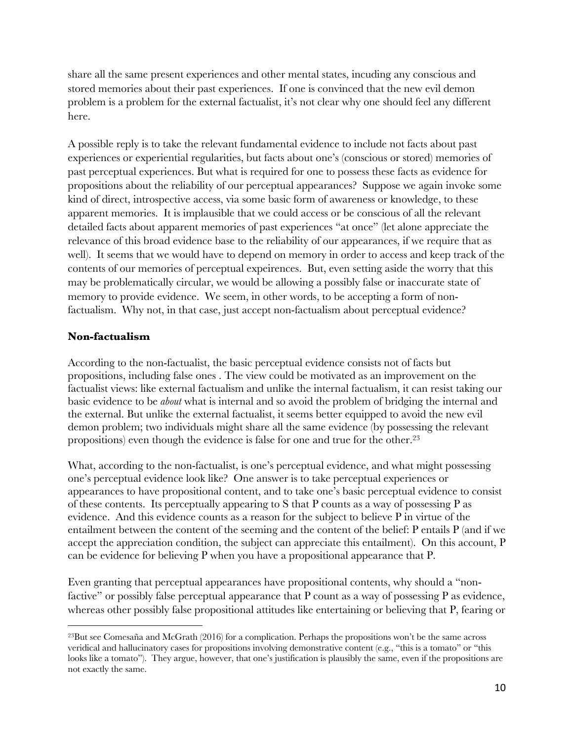share all the same present experiences and other mental states, incuding any conscious and stored memories about their past experiences. If one is convinced that the new evil demon problem is a problem for the external factualist, it's not clear why one should feel any different here.

A possible reply is to take the relevant fundamental evidence to include not facts about past experiences or experiential regularities, but facts about one's (conscious or stored) memories of past perceptual experiences. But what is required for one to possess these facts as evidence for propositions about the reliability of our perceptual appearances? Suppose we again invoke some kind of direct, introspective access, via some basic form of awareness or knowledge, to these apparent memories. It is implausible that we could access or be conscious of all the relevant detailed facts about apparent memories of past experiences "at once" (let alone appreciate the relevance of this broad evidence base to the reliability of our appearances, if we require that as well). It seems that we would have to depend on memory in order to access and keep track of the contents of our memories of perceptual expeirences. But, even setting aside the worry that this may be problematically circular, we would be allowing a possibly false or inaccurate state of memory to provide evidence. We seem, in other words, to be accepting a form of nonfactualism. Why not, in that case, just accept non-factualism about perceptual evidence?

### **Non-factualism**

According to the non-factualist, the basic perceptual evidence consists not of facts but propositions, including false ones . The view could be motivated as an improvement on the factualist views: like external factualism and unlike the internal factualism, it can resist taking our basic evidence to be *about* what is internal and so avoid the problem of bridging the internal and the external. But unlike the external factualist, it seems better equipped to avoid the new evil demon problem; two individuals might share all the same evidence (by possessing the relevant propositions) even though the evidence is false for one and true for the other. 23

What, according to the non-factualist, is one's perceptual evidence, and what might possessing one's perceptual evidence look like? One answer is to take perceptual experiences or appearances to have propositional content, and to take one's basic perceptual evidence to consist of these contents. Its perceptually appearing to S that P counts as a way of possessing P as evidence. And this evidence counts as a reason for the subject to believe P in virtue of the entailment between the content of the seeming and the content of the belief: P entails P (and if we accept the appreciation condition, the subject can appreciate this entailment). On this account, P can be evidence for believing P when you have a propositional appearance that P.

Even granting that perceptual appearances have propositional contents, why should a "nonfactive" or possibly false perceptual appearance that P count as a way of possessing P as evidence, whereas other possibly false propositional attitudes like entertaining or believing that P, fearing or

<sup>23</sup>But see Comesaña and McGrath (2016) for a complication. Perhaps the propositions won't be the same across veridical and hallucinatory cases for propositions involving demonstrative content (e.g., "this is a tomato" or "this looks like a tomato"). They argue, however, that one's justification is plausibly the same, even if the propositions are not exactly the same.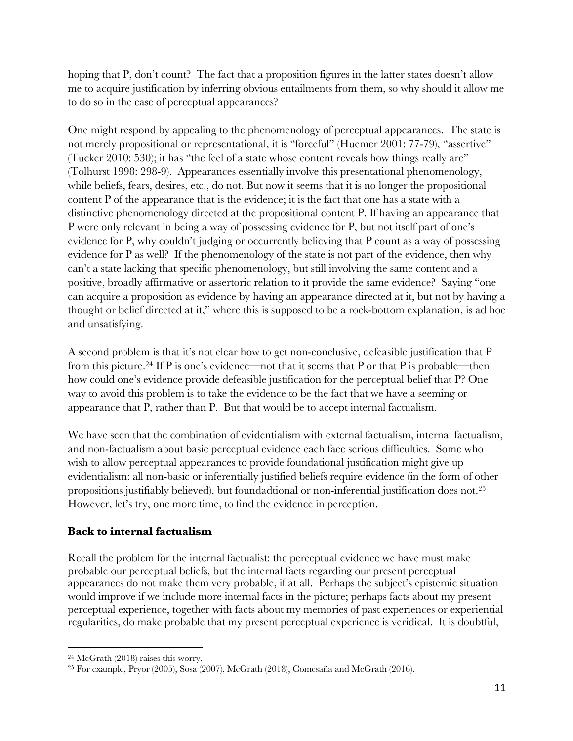hoping that P, don't count? The fact that a proposition figures in the latter states doesn't allow me to acquire justification by inferring obvious entailments from them, so why should it allow me to do so in the case of perceptual appearances?

One might respond by appealing to the phenomenology of perceptual appearances. The state is not merely propositional or representational, it is "forceful" (Huemer 2001: 77-79), "assertive" (Tucker 2010: 530); it has "the feel of a state whose content reveals how things really are" (Tolhurst 1998: 298-9). Appearances essentially involve this presentational phenomenology, while beliefs, fears, desires, etc., do not. But now it seems that it is no longer the propositional content P of the appearance that is the evidence; it is the fact that one has a state with a distinctive phenomenology directed at the propositional content P. If having an appearance that P were only relevant in being a way of possessing evidence for P, but not itself part of one's evidence for P, why couldn't judging or occurrently believing that P count as a way of possessing evidence for P as well? If the phenomenology of the state is not part of the evidence, then why can't a state lacking that specific phenomenology, but still involving the same content and a positive, broadly affirmative or assertoric relation to it provide the same evidence? Saying "one can acquire a proposition as evidence by having an appearance directed at it, but not by having a thought or belief directed at it," where this is supposed to be a rock-bottom explanation, is ad hoc and unsatisfying.

A second problem is that it's not clear how to get non-conclusive, defeasible justification that P from this picture.<sup>24</sup> If P is one's evidence—not that it seems that P or that P is probable—then how could one's evidence provide defeasible justification for the perceptual belief that P? One way to avoid this problem is to take the evidence to be the fact that we have a seeming or appearance that P, rather than P. But that would be to accept internal factualism.

We have seen that the combination of evidentialism with external factualism, internal factualism, and non-factualism about basic perceptual evidence each face serious difficulties. Some who wish to allow perceptual appearances to provide foundational justification might give up evidentialism: all non-basic or inferentially justified beliefs require evidence (in the form of other propositions justifiably believed), but foundadtional or non-inferential justification does not.25 However, let's try, one more time, to find the evidence in perception.

# **Back to internal factualism**

Recall the problem for the internal factualist: the perceptual evidence we have must make probable our perceptual beliefs, but the internal facts regarding our present perceptual appearances do not make them very probable, if at all. Perhaps the subject's epistemic situation would improve if we include more internal facts in the picture; perhaps facts about my present perceptual experience, together with facts about my memories of past experiences or experiential regularities, do make probable that my present perceptual experience is veridical. It is doubtful,

<sup>24</sup> McGrath (2018) raises this worry.

<sup>25</sup> For example, Pryor (2005), Sosa (2007), McGrath (2018), Comesaña and McGrath (2016).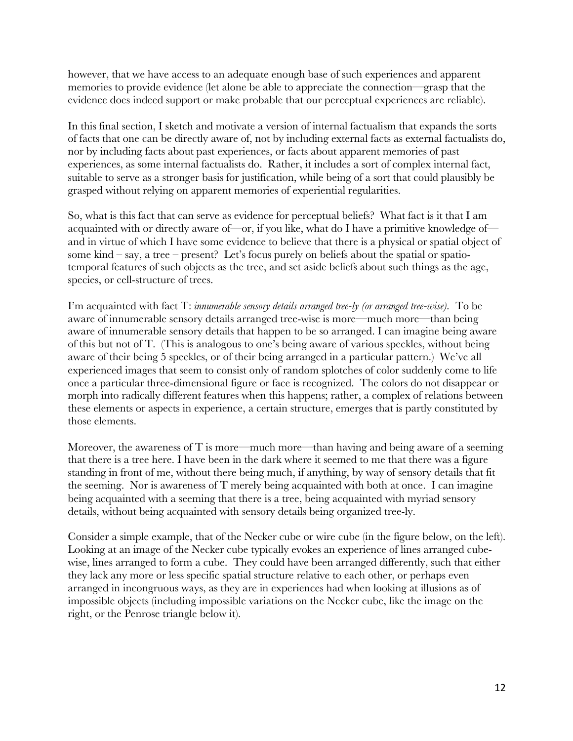however, that we have access to an adequate enough base of such experiences and apparent memories to provide evidence (let alone be able to appreciate the connection—grasp that the evidence does indeed support or make probable that our perceptual experiences are reliable).

In this final section, I sketch and motivate a version of internal factualism that expands the sorts of facts that one can be directly aware of, not by including external facts as external factualists do, nor by including facts about past experiences, or facts about apparent memories of past experiences, as some internal factualists do. Rather, it includes a sort of complex internal fact, suitable to serve as a stronger basis for justification, while being of a sort that could plausibly be grasped without relying on apparent memories of experiential regularities.

So, what is this fact that can serve as evidence for perceptual beliefs? What fact is it that I am acquainted with or directly aware of—or, if you like, what do I have a primitive knowledge of and in virtue of which I have some evidence to believe that there is a physical or spatial object of some kind – say, a tree – present? Let's focus purely on beliefs about the spatial or spatiotemporal features of such objects as the tree, and set aside beliefs about such things as the age, species, or cell-structure of trees.

I'm acquainted with fact T: *innumerable sensory details arranged tree-ly (or arranged tree-wise).* To be aware of innumerable sensory details arranged tree-wise is more—much more—than being aware of innumerable sensory details that happen to be so arranged. I can imagine being aware of this but not of T. (This is analogous to one's being aware of various speckles, without being aware of their being 5 speckles, or of their being arranged in a particular pattern.) We've all experienced images that seem to consist only of random splotches of color suddenly come to life once a particular three-dimensional figure or face is recognized. The colors do not disappear or morph into radically different features when this happens; rather, a complex of relations between these elements or aspects in experience, a certain structure, emerges that is partly constituted by those elements.

Moreover, the awareness of T is more—much more—than having and being aware of a seeming that there is a tree here. I have been in the dark where it seemed to me that there was a figure standing in front of me, without there being much, if anything, by way of sensory details that fit the seeming. Nor is awareness of T merely being acquainted with both at once. I can imagine being acquainted with a seeming that there is a tree, being acquainted with myriad sensory details, without being acquainted with sensory details being organized tree-ly.

Consider a simple example, that of the Necker cube or wire cube (in the figure below, on the left). Looking at an image of the Necker cube typically evokes an experience of lines arranged cubewise, lines arranged to form a cube. They could have been arranged differently, such that either they lack any more or less specific spatial structure relative to each other, or perhaps even arranged in incongruous ways, as they are in experiences had when looking at illusions as of impossible objects (including impossible variations on the Necker cube, like the image on the right, or the Penrose triangle below it).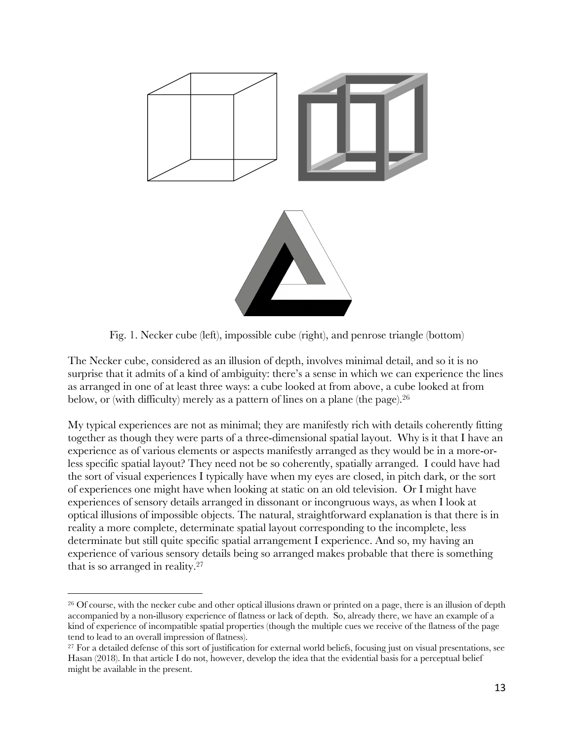

Fig. 1. Necker cube (left), impossible cube (right), and penrose triangle (bottom)

The Necker cube, considered as an illusion of depth, involves minimal detail, and so it is no surprise that it admits of a kind of ambiguity: there's a sense in which we can experience the lines as arranged in one of at least three ways: a cube looked at from above, a cube looked at from below, or (with difficulty) merely as a pattern of lines on a plane (the page). 26

My typical experiences are not as minimal; they are manifestly rich with details coherently fitting together as though they were parts of a three-dimensional spatial layout. Why is it that I have an experience as of various elements or aspects manifestly arranged as they would be in a more-orless specific spatial layout? They need not be so coherently, spatially arranged. I could have had the sort of visual experiences I typically have when my eyes are closed, in pitch dark, or the sort of experiences one might have when looking at static on an old television. Or I might have experiences of sensory details arranged in dissonant or incongruous ways, as when I look at optical illusions of impossible objects. The natural, straightforward explanation is that there is in reality a more complete, determinate spatial layout corresponding to the incomplete, less determinate but still quite specific spatial arrangement I experience. And so, my having an experience of various sensory details being so arranged makes probable that there is something that is so arranged in reality.27

<sup>&</sup>lt;sup>26</sup> Of course, with the necker cube and other optical illusions drawn or printed on a page, there is an illusion of depth accompanied by a non-illusory experience of flatness or lack of depth. So, already there, we have an example of a kind of experience of incompatible spatial properties (though the multiple cues we receive of the flatness of the page tend to lead to an overall impression of flatness).

<sup>&</sup>lt;sup>27</sup> For a detailed defense of this sort of justification for external world beliefs, focusing just on visual presentations, see Hasan (2018). In that article I do not, however, develop the idea that the evidential basis for a perceptual belief might be available in the present.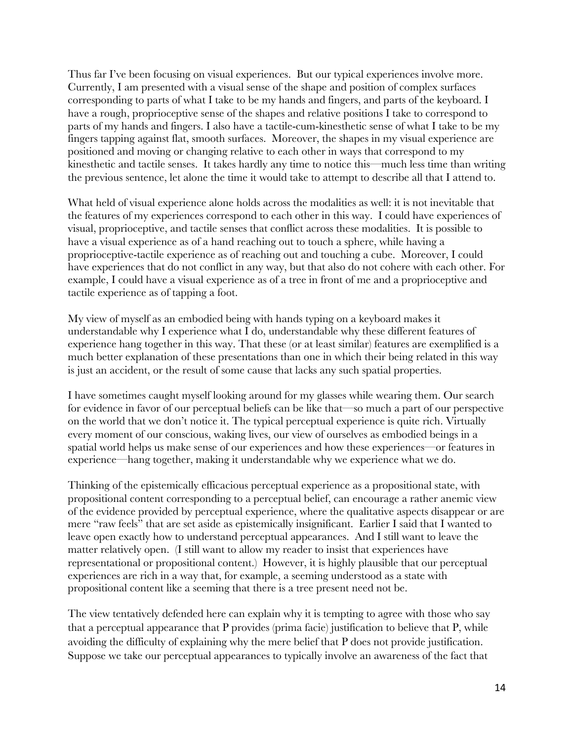Thus far I've been focusing on visual experiences. But our typical experiences involve more. Currently, I am presented with a visual sense of the shape and position of complex surfaces corresponding to parts of what I take to be my hands and fingers, and parts of the keyboard. I have a rough, proprioceptive sense of the shapes and relative positions I take to correspond to parts of my hands and fingers. I also have a tactile-cum-kinesthetic sense of what I take to be my fingers tapping against flat, smooth surfaces. Moreover, the shapes in my visual experience are positioned and moving or changing relative to each other in ways that correspond to my kinesthetic and tactile senses. It takes hardly any time to notice this—much less time than writing the previous sentence, let alone the time it would take to attempt to describe all that I attend to.

What held of visual experience alone holds across the modalities as well: it is not inevitable that the features of my experiences correspond to each other in this way. I could have experiences of visual, proprioceptive, and tactile senses that conflict across these modalities. It is possible to have a visual experience as of a hand reaching out to touch a sphere, while having a proprioceptive-tactile experience as of reaching out and touching a cube. Moreover, I could have experiences that do not conflict in any way, but that also do not cohere with each other. For example, I could have a visual experience as of a tree in front of me and a proprioceptive and tactile experience as of tapping a foot.

My view of myself as an embodied being with hands typing on a keyboard makes it understandable why I experience what I do, understandable why these different features of experience hang together in this way. That these (or at least similar) features are exemplified is a much better explanation of these presentations than one in which their being related in this way is just an accident, or the result of some cause that lacks any such spatial properties.

I have sometimes caught myself looking around for my glasses while wearing them. Our search for evidence in favor of our perceptual beliefs can be like that—so much a part of our perspective on the world that we don't notice it. The typical perceptual experience is quite rich. Virtually every moment of our conscious, waking lives, our view of ourselves as embodied beings in a spatial world helps us make sense of our experiences and how these experiences—or features in experience—hang together, making it understandable why we experience what we do.

Thinking of the epistemically efficacious perceptual experience as a propositional state, with propositional content corresponding to a perceptual belief, can encourage a rather anemic view of the evidence provided by perceptual experience, where the qualitative aspects disappear or are mere "raw feels" that are set aside as epistemically insignificant. Earlier I said that I wanted to leave open exactly how to understand perceptual appearances. And I still want to leave the matter relatively open. (I still want to allow my reader to insist that experiences have representational or propositional content.) However, it is highly plausible that our perceptual experiences are rich in a way that, for example, a seeming understood as a state with propositional content like a seeming that there is a tree present need not be.

The view tentatively defended here can explain why it is tempting to agree with those who say that a perceptual appearance that P provides (prima facie) justification to believe that P, while avoiding the difficulty of explaining why the mere belief that P does not provide justification. Suppose we take our perceptual appearances to typically involve an awareness of the fact that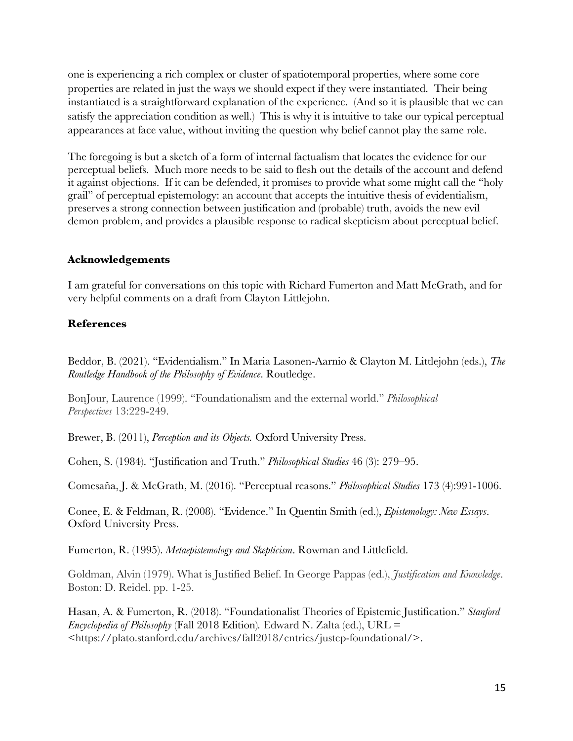one is experiencing a rich complex or cluster of spatiotemporal properties, where some core properties are related in just the ways we should expect if they were instantiated. Their being instantiated is a straightforward explanation of the experience. (And so it is plausible that we can satisfy the appreciation condition as well.) This is why it is intuitive to take our typical perceptual appearances at face value, without inviting the question why belief cannot play the same role.

The foregoing is but a sketch of a form of internal factualism that locates the evidence for our perceptual beliefs. Much more needs to be said to flesh out the details of the account and defend it against objections. If it can be defended, it promises to provide what some might call the "holy grail" of perceptual epistemology: an account that accepts the intuitive thesis of evidentialism, preserves a strong connection between justification and (probable) truth, avoids the new evil demon problem, and provides a plausible response to radical skepticism about perceptual belief.

#### **Acknowledgements**

I am grateful for conversations on this topic with Richard Fumerton and Matt McGrath, and for very helpful comments on a draft from Clayton Littlejohn.

### **References**

Beddor, B. (2021). "Evidentialism." In Maria Lasonen-Aarnio & Clayton M. Littlejohn (eds.), *The Routledge Handbook of the Philosophy of Evidence*. Routledge.

BonJour, Laurence (1999). "Foundationalism and the external world." *Philosophical Perspectives* 13:229-249.

Brewer, B. (2011), *Perception and its Objects.* Oxford University Press.

Cohen, S. (1984). "Justification and Truth." *Philosophical Studies* 46 (3): 279–95.

Comesaña, J. & McGrath, M. (2016). "Perceptual reasons." *Philosophical Studies* 173 (4):991-1006.

Conee, E. & Feldman, R. (2008). "Evidence." In Quentin Smith (ed.), *Epistemology: New Essays*. Oxford University Press.

Fumerton, R. (1995). *Metaepistemology and Skepticism*. Rowman and Littlefield.

Goldman, Alvin (1979). What is Justified Belief. In George Pappas (ed.), *Justification and Knowledge*. Boston: D. Reidel. pp. 1-25.

Hasan, A. & Fumerton, R. (2018). "Foundationalist Theories of Epistemic Justification." *Stanford Encyclopedia of Philosophy* (Fall 2018 Edition)*.* Edward N. Zalta (ed.), URL = <https://plato.stanford.edu/archives/fall2018/entries/justep-foundational/>.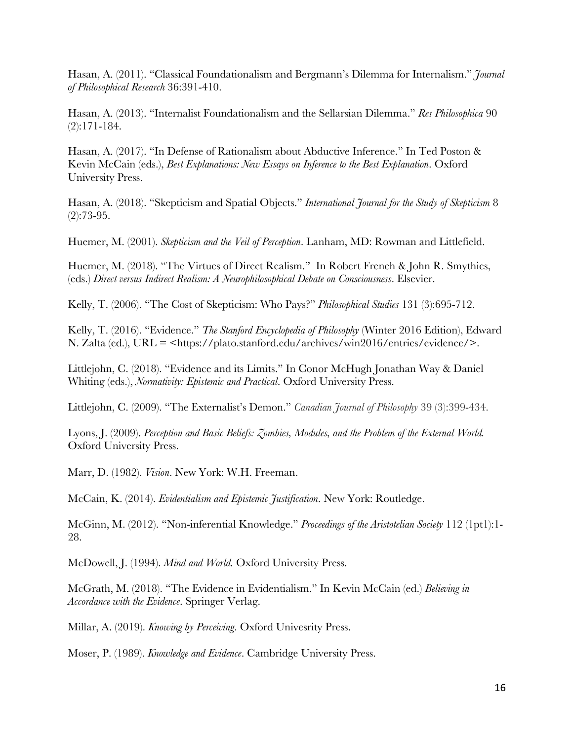Hasan, A. (2011). "Classical Foundationalism and Bergmann's Dilemma for Internalism." *Journal of Philosophical Research* 36:391-410.

Hasan, A. (2013). "Internalist Foundationalism and the Sellarsian Dilemma." *Res Philosophica* 90 (2):171-184.

Hasan, A. (2017). "In Defense of Rationalism about Abductive Inference." In Ted Poston & Kevin McCain (eds.), *Best Explanations: New Essays on Inference to the Best Explanation*. Oxford University Press.

Hasan, A. (2018). "Skepticism and Spatial Objects." *International Journal for the Study of Skepticism* 8  $(2):73-95.$ 

Huemer, M. (2001). *Skepticism and the Veil of Perception*. Lanham, MD: Rowman and Littlefield.

Huemer, M. (2018). "The Virtues of Direct Realism." In Robert French & John R. Smythies, (eds.) *Direct versus Indirect Realism: A Neurophilosophical Debate on Consciousness*. Elsevier.

Kelly, T. (2006). "The Cost of Skepticism: Who Pays?" *Philosophical Studies* 131 (3):695-712.

Kelly, T. (2016). "Evidence." *The Stanford Encyclopedia of Philosophy* (Winter 2016 Edition), Edward N. Zalta (ed.), URL = <https://plato.stanford.edu/archives/win2016/entries/evidence/>.

Littlejohn, C. (2018). "Evidence and its Limits." In Conor McHugh Jonathan Way & Daniel Whiting (eds.), *Normativity: Epistemic and Practical*. Oxford University Press.

Littlejohn, C. (2009). "The Externalist's Demon." *Canadian Journal of Philosophy* 39 (3):399-434.

Lyons, J. (2009). *Perception and Basic Beliefs: Zombies, Modules, and the Problem of the External World.* Oxford University Press.

Marr, D. (1982). *Vision*. New York: W.H. Freeman.

McCain, K. (2014). *Evidentialism and Epistemic Justification*. New York: Routledge.

McGinn, M. (2012). "Non-inferential Knowledge." *Proceedings of the Aristotelian Society* 112 (1pt1):1- 28.

McDowell, J. (1994). *Mind and World.* Oxford University Press.

McGrath, M. (2018). "The Evidence in Evidentialism." In Kevin McCain (ed.) *Believing in Accordance with the Evidence*. Springer Verlag.

Millar, A. (2019). *Knowing by Perceiving*. Oxford Univesrity Press.

Moser, P. (1989). *Knowledge and Evidence*. Cambridge University Press.